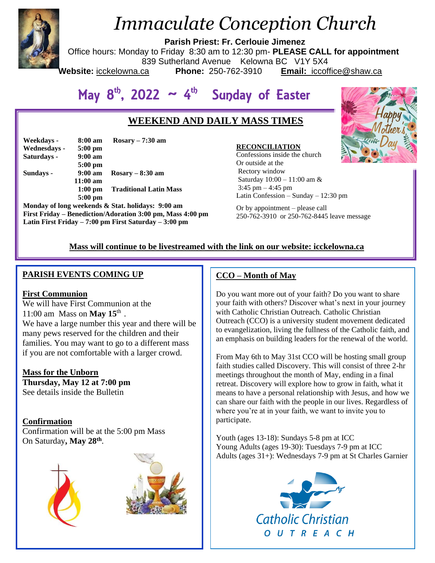

# *Immaculate Conception Church*

**Parish Priest: Fr. Cerlouie Jimenez**

Office hours: Monday to Friday 8:30 am to 12:30 pm- **PLEASE CALL for appointment**

839 Sutherland Avenue Kelowna BC V1Y 5X4

Website: icckelowna.ca

**Phone:** 250-762-3910 **Email:** iccoffice@shaw.ca

# May  $8^{th}$ , 2022  $\sim 4^{th}$  Sunday of Easter

# **WEEKEND AND DAILY MASS TIMES**

| Weekdays -   | $8:00 \text{ am}$ | $Rosary - 7:30$ am            |
|--------------|-------------------|-------------------------------|
| Wednesdays - | $5:00 \text{ pm}$ |                               |
| Saturdays -  | $9:00 \text{ am}$ |                               |
|              | $5:00$ pm         |                               |
| Sundays -    | $9:00 \text{ am}$ | $Rosary - 8:30$ am            |
|              | $11:00$ am        |                               |
|              | $1:00$ pm         | <b>Traditional Latin Mass</b> |
|              | $5:00$ pm         |                               |

**Monday of long weekends & Stat. holidays: 9:00 am First Friday – Benediction/Adoration 3:00 pm, Mass 4:00 pm Latin First Friday – 7:00 pm First Saturday – 3:00 pm** 

#### **RECONCILIATION**

Confessions inside the church Or outside at the Rectory window Saturday 10:00 – 11:00 am &  $3:45$  pm  $-4:45$  pm Latin Confession – Sunday – 12:30 pm

Or by appointment – please call 250-762-3910 or 250-762-8445 leave message

## **Mass will continue to be livestreamed with the link on our website: icckelowna.ca**

## **PARISH EVENTS COMING UP**

## **First Communion**

We will have First Communion at the 11:00 am Mass on **May 15**th . We have a large number this year and there will be many pews reserved for the children and their families. You may want to go to a different mass if you are not comfortable with a larger crowd.

**Mass for the Unborn Thursday, May 12 at 7:00 pm** See details inside the Bulletin

## **Confirmation**

Confirmation will be at the 5:00 pm Mass On Saturday**, May 28th** .





## **CCO – Month of May**

Do you want more out of your faith? Do you want to share your faith with others? Discover what's next in your journey with Catholic Christian Outreach. Catholic Christian Outreach (CCO) is a university student movement dedicated to evangelization, living the fullness of the Catholic faith, and an emphasis on building leaders for the renewal of the world.

From May 6th to May 31st CCO will be hosting small group faith studies called Discovery. This will consist of three 2-hr meetings throughout the month of May, ending in a final retreat. Discovery will explore how to grow in faith, what it means to have a personal relationship with Jesus, and how we can share our faith with the people in our lives. Regardless of where you're at in your faith, we want to invite you to participate.

Youth (ages 13-18): Sundays 5-8 pm at ICC Young Adults (ages 19-30): Tuesdays 7-9 pm at ICC Adults (ages 31+): Wednesdays 7-9 pm at St Charles Garnier



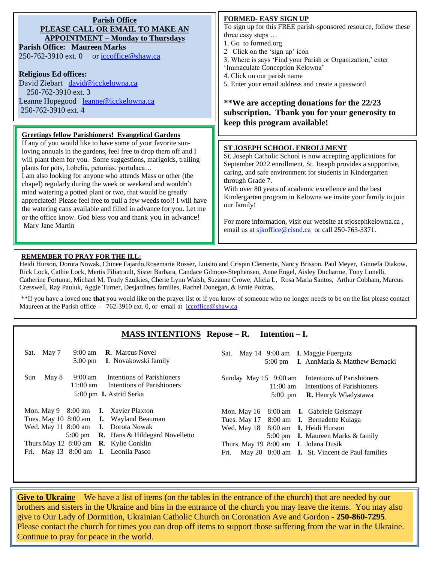| <b>Parish Office</b><br>PLEASE CALL OR EMAIL TO MAKE AN<br><b>APPOINTMENT – Monday to Thursdays</b><br><b>Parish Office: Maureen Marks</b><br>250-762-3910 ext. 0 or iccoffice@shaw.ca<br><b>Religious Ed offices:</b><br>David Ziebart david@icckelowna.ca<br>250-762-3910 ext. 3<br>Leanne Hopegood leanne@icckelowna.ca<br>250-762-3910 ext. 4                                                                                                                                                                                                                                                                                                                                                                                       | <b>FORMED- EASY SIGN UP</b><br>To sign up for this FREE parish-sponsored resource, follow these<br>three easy steps<br>1. Go to formed.org<br>2 Click on the 'sign up' icon<br>3. Where is says 'Find your Parish or Organization,' enter<br>'Immaculate Conception Kelowna'<br>4. Click on our parish name<br>5. Enter your email address and create a password<br>**We are accepting donations for the 22/23<br>subscription. Thank you for your generosity to<br>keep this program available!                 |  |
|-----------------------------------------------------------------------------------------------------------------------------------------------------------------------------------------------------------------------------------------------------------------------------------------------------------------------------------------------------------------------------------------------------------------------------------------------------------------------------------------------------------------------------------------------------------------------------------------------------------------------------------------------------------------------------------------------------------------------------------------|------------------------------------------------------------------------------------------------------------------------------------------------------------------------------------------------------------------------------------------------------------------------------------------------------------------------------------------------------------------------------------------------------------------------------------------------------------------------------------------------------------------|--|
| <b>Greetings fellow Parishioners! Evangelical Gardens</b><br>If any of you would like to have some of your favorite sun-<br>loving annuals in the gardens, feel free to drop them off and I<br>will plant them for you. Some suggestions, marigolds, trailing<br>plants for pots, Lobelia, petunias, portulaca<br>I am also looking for anyone who attends Mass or other (the<br>chapel) regularly during the week or weekend and wouldn't<br>mind watering a potted plant or two, that would be greatly<br>appreciated! Please feel free to pull a few weeds too!! I will have<br>the watering cans available and filled in advance for you. Let me<br>or the office know. God bless you and thank you in advance!<br>Mary Jane Martin | ST JOSEPH SCHOOL ENROLLMENT<br>St. Joseph Catholic School is now accepting applications for<br>September 2022 enrollment. St. Joseph provides a supportive,<br>caring, and safe environment for students in Kindergarten<br>through Grade 7.<br>With over 80 years of academic excellence and the best<br>Kindergarten program in Kelowna we invite your family to join<br>our family!<br>For more information, visit our website at stjosephkelowna.ca,<br>email us at sikoffice@cisnd.ca or call 250-763-3371. |  |

#### **REMEMBER TO PRAY FOR THE ILL:**

Heidi Hurson, Dorota Nowak, Chinee Fajardo,Rosemarie Rosser, Luisito and Crispin Clemente, Nancy Brisson. Paul Meyer, Ginoefa Diakow, Rick Lock, Cathie Lock, Mertis Filiatrault, Sister Barbara, Candace Gilmore-Stephensen, Anne Engel, Aisley Ducharme, Tony Lunelli, Catherine Fortunat, Michael M, Trudy Szulkies, Cherie Lynn Walsh, Suzanne Crowe, Alicia L, Rosa Maria Santos, Arthur Cobham, Marcus Cresswell, Ray Pauluk, Aggie Turner, Desjardines families, Rachel Donegan, & Ernie Poitras.

\*\*If you have a loved one **that** you would like on the prayer list or if you know of someone who no longer needs to be on the list please contact Maureen at the Parish office – 762-3910 ext. 0, or email at iccoffice@shaw.ca

#### **MASS INTENTIONS Repose – R. Intention – I.**

| 9:00 am <b>R</b> . Marcus Novel<br>Sat. May 7<br>5:00 pm I. Novakowski family                                                                                                                                                                                                     | Sat. May 14 9:00 am I. Maggie Fuergutz<br>5:00 pm I. AnnMaria & Matthew Bernacki                                                                                                                                                                                                          |
|-----------------------------------------------------------------------------------------------------------------------------------------------------------------------------------------------------------------------------------------------------------------------------------|-------------------------------------------------------------------------------------------------------------------------------------------------------------------------------------------------------------------------------------------------------------------------------------------|
| 9:00 am Intentions of Parishioners<br>May 8<br>Sun<br>$11:00 \text{ am}$<br>Intentions of Parishioners<br>5:00 pm <b>I.</b> Astrid Serka                                                                                                                                          | Sunday May 15 9:00 am Intentions of Parishioners<br>11:00 am Intentions of Parishioners<br><b>R.</b> Henryk Wladystawa<br>$5:00$ pm                                                                                                                                                       |
| Mon. May 9 8:00 am <b>I.</b> Xavier Plaxton<br>Tues. May 10 8:00 am <b>I.</b> Wayland Beauman<br>Wed. May 11 8:00 am I. Dorota Nowak<br>5:00 pm <b>R.</b> Hans & Hildegard Novelletto<br>Thurs. May 12 $8:00$ am <b>R</b> . Kylie Conklin<br>Fri. May 13 8:00 am I. Leonila Pasco | Mon. May 16 8:00 am <b>I.</b> Gabriele Geismayr<br>Tues. May 17 8:00 am <b>I.</b> Bernadette Kulaga<br>Wed. May 18 8:00 am I. Heidi Hurson<br>5:00 pm <b>I.</b> Maureen Marks & family<br>Thurs. May 19 8:00 am I. Jolana Dusik<br>May 20 8:00 am I. St. Vincent de Paul families<br>Fri. |

**Give to Ukraine** – We have a list of items (on the tables in the entrance of the church) that are needed by our brothers and sisters in the Ukraine and bins in the entrance of the church you may leave the items. You may also give to Our Lady of Dormition, Ukrainian Catholic Church on Coronation Ave and Gordon - **250-860-7295**. Please contact the church for times you can drop off items to support those suffering from the war in the Ukraine. Continue to pray for peace in the world.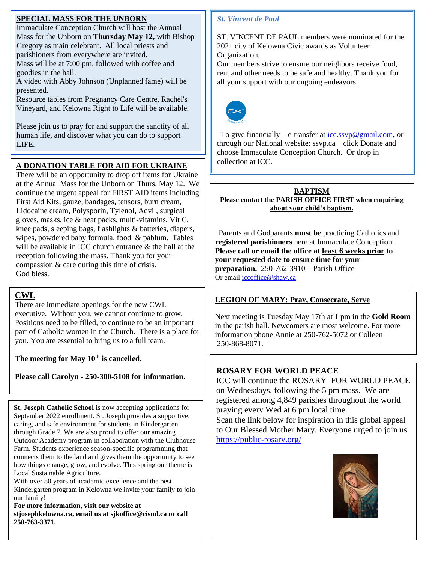### **SPECIAL MASS FOR THE UNBORN**

Immaculate Conception Church will host the Annual Mass for the Unborn on **Thursday May 12,** with Bishop Gregory as main celebrant. All local priests and parishioners from everywhere are invited. Mass will be at 7:00 pm, followed with coffee and goodies in the hall.

A video with Abby Johnson (Unplanned fame) will be presented.

Resource tables from Pregnancy Care Centre, Rachel's Vineyard, and Kelowna Right to Life will be available.

Please join us to pray for and support the sanctity of all human life, and discover what you can do to support LIFE.

## **A DONATION TABLE FOR AID FOR UKRAINE**

There will be an opportunity to drop off items for Ukraine at the Annual Mass for the Unborn on Thurs. May 12. We continue the urgent appeal for FIRST AID items including First Aid Kits, gauze, bandages, tensors, burn cream, Lidocaine cream, Polysporin, Tylenol, Advil, surgical gloves, masks, ice & heat packs, multi-vitamins, Vit C, knee pads, sleeping bags, flashlights & batteries, diapers, wipes, powdered baby formula, food & pablum. Tables will be available in ICC church entrance & the hall at the reception following the mass. Thank you for your compassion & care during this time of crisis. God bless.

## **CWL**

There are immediate openings for the new CWL executive. Without you, we cannot continue to grow. Positions need to be filled, to continue to be an important part of Catholic women in the Church. There is a place for you. You are essential to bring us to a full team.

**The meeting for May 10th is cancelled.** 

**Please call Carolyn - 250-300-5108 for information.**

**St. Joseph Catholic School** is now accepting applications for September 2022 enrollment. St. Joseph provides a supportive, caring, and safe environment for students in Kindergarten through Grade 7. We are also proud to offer our amazing Outdoor Academy program in collaboration with the Clubhouse Farm. Students experience season-specific programming that connects them to the land and gives them the opportunity to see how things change, grow, and evolve. This spring our theme is Local Sustainable Agriculture.

With over 80 years of academic excellence and the best Kindergarten program in Kelowna we invite your family to join our family!

**For more information, visit our website at stjosephkelowna.ca, email us at sjkoffice@cisnd.ca or call 250-763-3371.**

## *St. Vincent de Paul*

ST. VINCENT DE PAUL members were nominated for the 2021 city of Kelowna Civic awards as Volunteer Organization.

Our members strive to ensure our neighbors receive food, rent and other needs to be safe and healthy. Thank you for all your support with our ongoing endeavors



To give financially – e-transfer at  $\frac{icc \, \text{ssvp}\omega\text{gmail.com}}{c}$ , or through our National website: ssvp.ca click Donate and choose Immaculate Conception Church. Or drop in collection at ICC.

**BAPTISM Please contact the PARISH OFFICE FIRST when enquiring about your child's baptism.** 

 Parents and Godparents **must be** practicing Catholics and **registered parishioners** here at Immaculate Conception. **Please call or email the office at least 6 weeks prior to your requested date to ensure time for your preparation.** 250-762-3910 – Parish Office Or email  $iccoffice@shaw.ca$ 

## **LEGION OF MARY: Pray, Consecrate, Serve**

Next meeting is Tuesday May 17th at 1 pm in the **Gold Room** in the parish hall. Newcomers are most welcome. For more information phone Annie at 250-762-5072 or Colleen 250-868-8071.

## **ROSARY FOR WORLD PEACE**

ICC will continue the ROSARY FOR WORLD PEACE on Wednesdays, following the 5 pm mass. We are registered among 4,849 parishes throughout the world praying every Wed at 6 pm local time. Scan the link below for inspiration in this global appeal

to Our Blessed Mother Mary. Everyone urged to join us <https://public-rosary.org/>